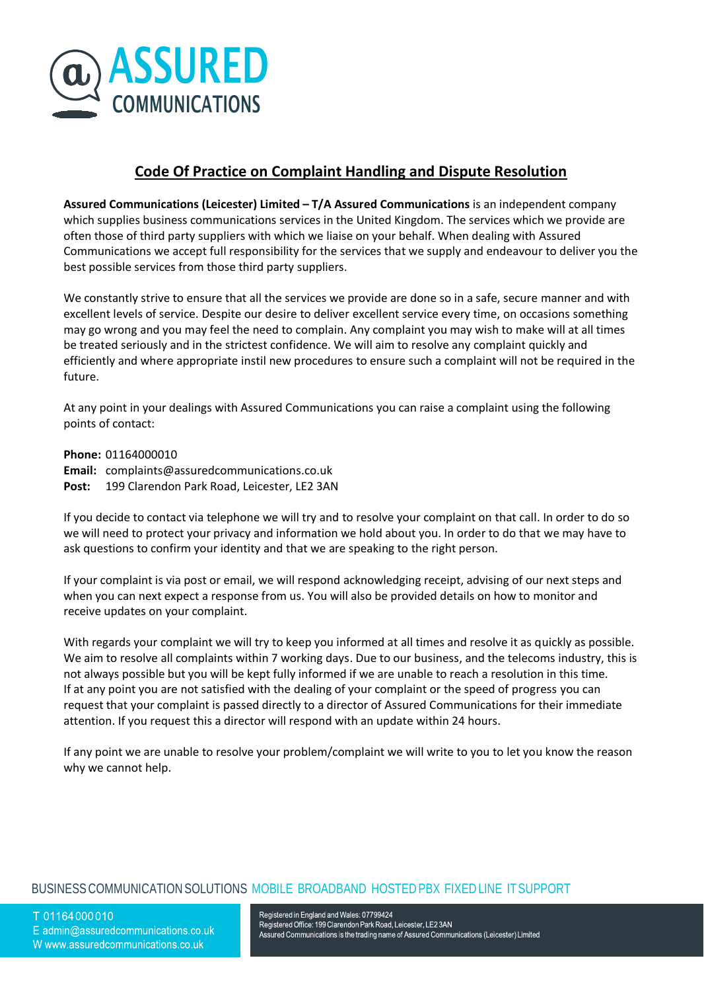

# **Code Of Practice on Complaint Handling and Dispute Resolution**

**Assured Communications (Leicester) Limited – T/A Assured Communications** is an independent company which supplies business communications services in the United Kingdom. The services which we provide are often those of third party suppliers with which we liaise on your behalf. When dealing with Assured Communications we accept full responsibility for the services that we supply and endeavour to deliver you the best possible services from those third party suppliers.

We constantly strive to ensure that all the services we provide are done so in a safe, secure manner and with excellent levels of service. Despite our desire to deliver excellent service every time, on occasions something may go wrong and you may feel the need to complain. Any complaint you may wish to make will at all times be treated seriously and in the strictest confidence. We will aim to resolve any complaint quickly and efficiently and where appropriate instil new procedures to ensure such a complaint will not be required in the future.

At any point in your dealings with Assured Communications you can raise a complaint using the following points of contact:

**Phone:** 01164000010 **Email:** complaints@assuredcommunications.co.uk **Post:** 199 Clarendon Park Road, Leicester, LE2 3AN

If you decide to contact via telephone we will try and to resolve your complaint on that call. In order to do so we will need to protect your privacy and information we hold about you. In order to do that we may have to ask questions to confirm your identity and that we are speaking to the right person.

If your complaint is via post or email, we will respond acknowledging receipt, advising of our next steps and when you can next expect a response from us. You will also be provided details on how to monitor and receive updates on your complaint.

With regards your complaint we will try to keep you informed at all times and resolve it as quickly as possible. We aim to resolve all complaints within 7 working days. Due to our business, and the telecoms industry, this is not always possible but you will be kept fully informed if we are unable to reach a resolution in this time. If at any point you are not satisfied with the dealing of your complaint or the speed of progress you can request that your complaint is passed directly to a director of Assured Communications for their immediate attention. If you request this a director will respond with an update within 24 hours.

If any point we are unable to resolve your problem/complaint we will write to you to let you know the reason why we cannot help.

### BUSINESS COMMUNICATION SOLUTIONS MOBILE BROADBAND HOSTED PBX FIXED LINE ITSUPPORT

#### T 01164000010

E admin@assuredcommunications.co.uk W www.assuredcommunications.co.uk

Registered in England and Wales: 07799424 Registered Office: 199 Clarendon Park Road, Leicester, LE2 3AN Assured Communications is the trading name of Assured Communications (Leicester) Limited